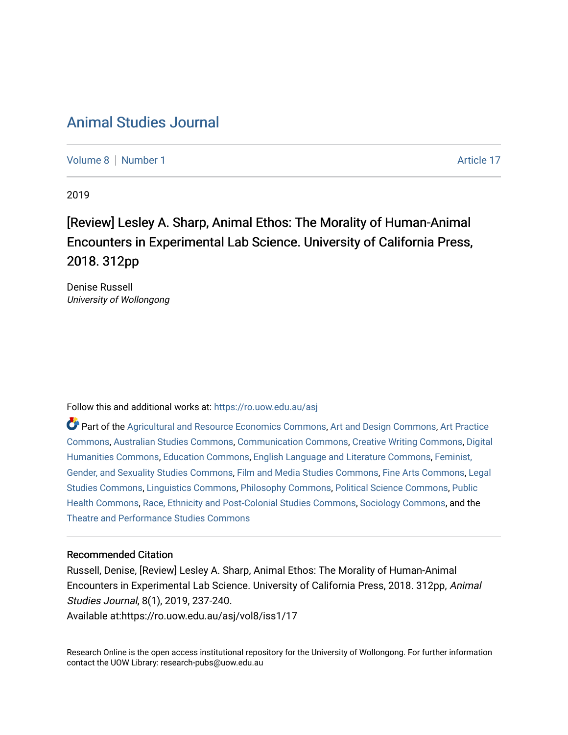## [Animal Studies Journal](https://ro.uow.edu.au/asj)

[Volume 8](https://ro.uow.edu.au/asj/vol8) | [Number 1](https://ro.uow.edu.au/asj/vol8/iss1) Article 17

2019

## [Review] Lesley A. Sharp, Animal Ethos: The Morality of Human-Animal Encounters in Experimental Lab Science. University of California Press, 2018. 312pp

Denise Russell University of Wollongong

Follow this and additional works at: [https://ro.uow.edu.au/asj](https://ro.uow.edu.au/asj?utm_source=ro.uow.edu.au%2Fasj%2Fvol8%2Fiss1%2F17&utm_medium=PDF&utm_campaign=PDFCoverPages) 

Part of the [Agricultural and Resource Economics Commons,](http://network.bepress.com/hgg/discipline/317?utm_source=ro.uow.edu.au%2Fasj%2Fvol8%2Fiss1%2F17&utm_medium=PDF&utm_campaign=PDFCoverPages) [Art and Design Commons](http://network.bepress.com/hgg/discipline/1049?utm_source=ro.uow.edu.au%2Fasj%2Fvol8%2Fiss1%2F17&utm_medium=PDF&utm_campaign=PDFCoverPages), [Art Practice](http://network.bepress.com/hgg/discipline/509?utm_source=ro.uow.edu.au%2Fasj%2Fvol8%2Fiss1%2F17&utm_medium=PDF&utm_campaign=PDFCoverPages) [Commons](http://network.bepress.com/hgg/discipline/509?utm_source=ro.uow.edu.au%2Fasj%2Fvol8%2Fiss1%2F17&utm_medium=PDF&utm_campaign=PDFCoverPages), [Australian Studies Commons,](http://network.bepress.com/hgg/discipline/1020?utm_source=ro.uow.edu.au%2Fasj%2Fvol8%2Fiss1%2F17&utm_medium=PDF&utm_campaign=PDFCoverPages) [Communication Commons,](http://network.bepress.com/hgg/discipline/325?utm_source=ro.uow.edu.au%2Fasj%2Fvol8%2Fiss1%2F17&utm_medium=PDF&utm_campaign=PDFCoverPages) [Creative Writing Commons,](http://network.bepress.com/hgg/discipline/574?utm_source=ro.uow.edu.au%2Fasj%2Fvol8%2Fiss1%2F17&utm_medium=PDF&utm_campaign=PDFCoverPages) [Digital](http://network.bepress.com/hgg/discipline/1286?utm_source=ro.uow.edu.au%2Fasj%2Fvol8%2Fiss1%2F17&utm_medium=PDF&utm_campaign=PDFCoverPages) [Humanities Commons,](http://network.bepress.com/hgg/discipline/1286?utm_source=ro.uow.edu.au%2Fasj%2Fvol8%2Fiss1%2F17&utm_medium=PDF&utm_campaign=PDFCoverPages) [Education Commons,](http://network.bepress.com/hgg/discipline/784?utm_source=ro.uow.edu.au%2Fasj%2Fvol8%2Fiss1%2F17&utm_medium=PDF&utm_campaign=PDFCoverPages) [English Language and Literature Commons](http://network.bepress.com/hgg/discipline/455?utm_source=ro.uow.edu.au%2Fasj%2Fvol8%2Fiss1%2F17&utm_medium=PDF&utm_campaign=PDFCoverPages), [Feminist,](http://network.bepress.com/hgg/discipline/559?utm_source=ro.uow.edu.au%2Fasj%2Fvol8%2Fiss1%2F17&utm_medium=PDF&utm_campaign=PDFCoverPages) [Gender, and Sexuality Studies Commons](http://network.bepress.com/hgg/discipline/559?utm_source=ro.uow.edu.au%2Fasj%2Fvol8%2Fiss1%2F17&utm_medium=PDF&utm_campaign=PDFCoverPages), [Film and Media Studies Commons](http://network.bepress.com/hgg/discipline/563?utm_source=ro.uow.edu.au%2Fasj%2Fvol8%2Fiss1%2F17&utm_medium=PDF&utm_campaign=PDFCoverPages), [Fine Arts Commons,](http://network.bepress.com/hgg/discipline/1141?utm_source=ro.uow.edu.au%2Fasj%2Fvol8%2Fiss1%2F17&utm_medium=PDF&utm_campaign=PDFCoverPages) [Legal](http://network.bepress.com/hgg/discipline/366?utm_source=ro.uow.edu.au%2Fasj%2Fvol8%2Fiss1%2F17&utm_medium=PDF&utm_campaign=PDFCoverPages)  [Studies Commons,](http://network.bepress.com/hgg/discipline/366?utm_source=ro.uow.edu.au%2Fasj%2Fvol8%2Fiss1%2F17&utm_medium=PDF&utm_campaign=PDFCoverPages) [Linguistics Commons,](http://network.bepress.com/hgg/discipline/371?utm_source=ro.uow.edu.au%2Fasj%2Fvol8%2Fiss1%2F17&utm_medium=PDF&utm_campaign=PDFCoverPages) [Philosophy Commons](http://network.bepress.com/hgg/discipline/525?utm_source=ro.uow.edu.au%2Fasj%2Fvol8%2Fiss1%2F17&utm_medium=PDF&utm_campaign=PDFCoverPages), [Political Science Commons](http://network.bepress.com/hgg/discipline/386?utm_source=ro.uow.edu.au%2Fasj%2Fvol8%2Fiss1%2F17&utm_medium=PDF&utm_campaign=PDFCoverPages), [Public](http://network.bepress.com/hgg/discipline/738?utm_source=ro.uow.edu.au%2Fasj%2Fvol8%2Fiss1%2F17&utm_medium=PDF&utm_campaign=PDFCoverPages) [Health Commons,](http://network.bepress.com/hgg/discipline/738?utm_source=ro.uow.edu.au%2Fasj%2Fvol8%2Fiss1%2F17&utm_medium=PDF&utm_campaign=PDFCoverPages) [Race, Ethnicity and Post-Colonial Studies Commons,](http://network.bepress.com/hgg/discipline/566?utm_source=ro.uow.edu.au%2Fasj%2Fvol8%2Fiss1%2F17&utm_medium=PDF&utm_campaign=PDFCoverPages) [Sociology Commons](http://network.bepress.com/hgg/discipline/416?utm_source=ro.uow.edu.au%2Fasj%2Fvol8%2Fiss1%2F17&utm_medium=PDF&utm_campaign=PDFCoverPages), and the [Theatre and Performance Studies Commons](http://network.bepress.com/hgg/discipline/552?utm_source=ro.uow.edu.au%2Fasj%2Fvol8%2Fiss1%2F17&utm_medium=PDF&utm_campaign=PDFCoverPages) 

#### Recommended Citation

Russell, Denise, [Review] Lesley A. Sharp, Animal Ethos: The Morality of Human-Animal Encounters in Experimental Lab Science. University of California Press, 2018. 312pp, Animal Studies Journal, 8(1), 2019, 237-240. Available at:https://ro.uow.edu.au/asj/vol8/iss1/17

Research Online is the open access institutional repository for the University of Wollongong. For further information contact the UOW Library: research-pubs@uow.edu.au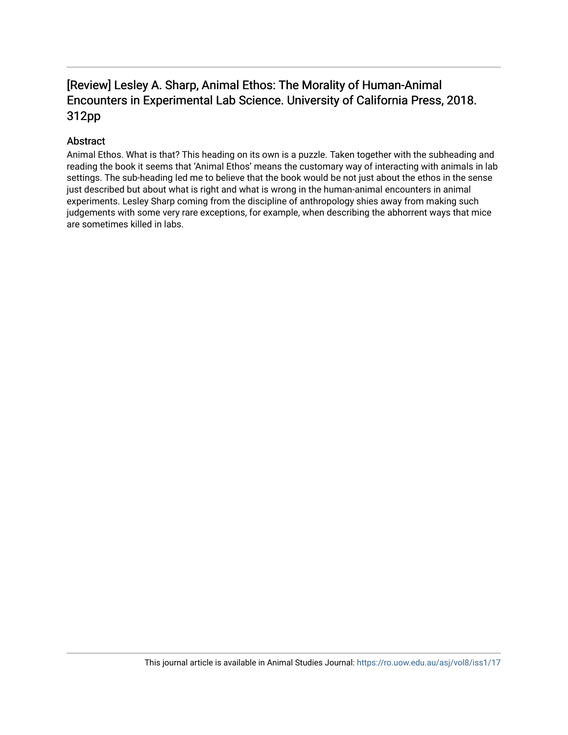### [Review] Lesley A. Sharp, Animal Ethos: The Morality of Human-Animal Encounters in Experimental Lab Science. University of California Press, 2018. 312pp

#### Abstract

Animal Ethos. What is that? This heading on its own is a puzzle. Taken together with the subheading and reading the book it seems that 'Animal Ethos' means the customary way of interacting with animals in lab settings. The sub-heading led me to believe that the book would be not just about the ethos in the sense just described but about what is right and what is wrong in the human-animal encounters in animal experiments. Lesley Sharp coming from the discipline of anthropology shies away from making such judgements with some very rare exceptions, for example, when describing the abhorrent ways that mice are sometimes killed in labs.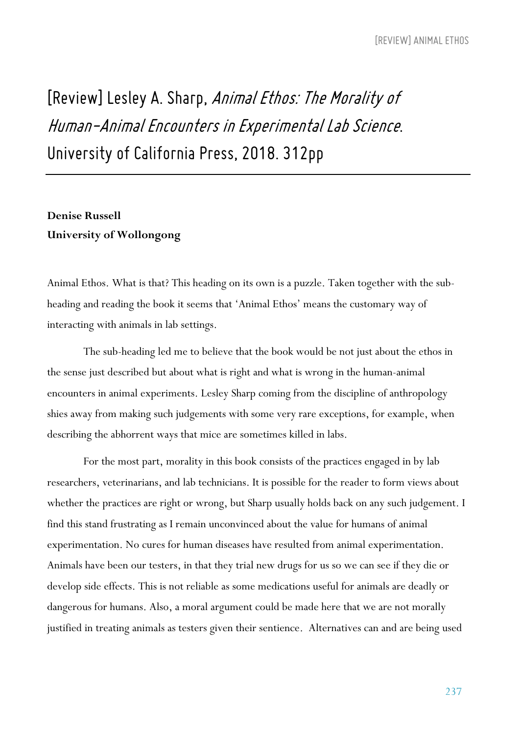# *[Review] Lesley A. Sharp, AnimalEthos:The Moralityof Human-AnimalEncounters inExperimental Lab Science. University of California Press, 2018. 312pp*

#### **Denise Russell University of Wollongong**

Animal Ethos. What is that? This heading on its own is a puzzle. Taken together with the subheading and reading the book it seems that 'Animal Ethos' means the customary way of interacting with animals in lab settings.

The sub-heading led me to believe that the book would be not just about the ethos in the sense just described but about what is right and what is wrong in the human-animal encounters in animal experiments. Lesley Sharp coming from the discipline of anthropology shies away from making such judgements with some very rare exceptions, for example, when describing the abhorrent ways that mice are sometimes killed in labs.

For the most part, morality in this book consists of the practices engaged in by lab researchers, veterinarians, and lab technicians. It is possible for the reader to form views about whether the practices are right or wrong, but Sharp usually holds back on any such judgement. I find this stand frustrating as I remain unconvinced about the value for humans of animal experimentation. No cures for human diseases have resulted from animal experimentation. Animals have been our testers, in that they trial new drugs for us so we can see if they die or develop side effects. This is not reliable as some medications useful for animals are deadly or dangerous for humans. Also, a moral argument could be made here that we are not morally justified in treating animals as testers given their sentience. Alternatives can and are being used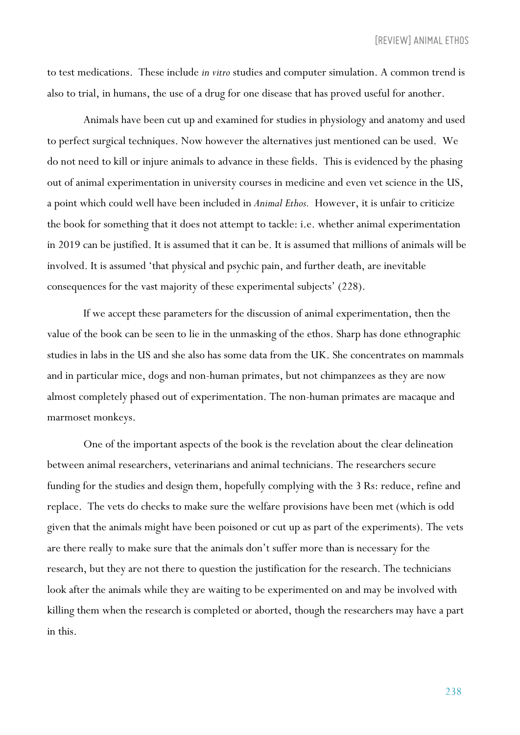to test medications. These include *in vitro* studies and computer simulation. A common trend is also to trial, in humans, the use of a drug for one disease that has proved useful for another.

Animals have been cut up and examined for studies in physiology and anatomy and used to perfect surgical techniques. Now however the alternatives just mentioned can be used. We do not need to kill or injure animals to advance in these fields. This is evidenced by the phasing out of animal experimentation in university courses in medicine and even vet science in the US, a point which could well have been included in *Animal Ethos.* However, it is unfair to criticize the book for something that it does not attempt to tackle: i.e. whether animal experimentation in 2019 can be justified. It is assumed that it can be. It is assumed that millions of animals will be involved. It is assumed 'that physical and psychic pain, and further death, are inevitable consequences for the vast majority of these experimental subjects' (228).

If we accept these parameters for the discussion of animal experimentation, then the value of the book can be seen to lie in the unmasking of the ethos. Sharp has done ethnographic studies in labs in the US and she also has some data from the UK. She concentrates on mammals and in particular mice, dogs and non-human primates, but not chimpanzees as they are now almost completely phased out of experimentation. The non-human primates are macaque and marmoset monkeys.

One of the important aspects of the book is the revelation about the clear delineation between animal researchers, veterinarians and animal technicians. The researchers secure funding for the studies and design them, hopefully complying with the 3 Rs: reduce, refine and replace. The vets do checks to make sure the welfare provisions have been met (which is odd given that the animals might have been poisoned or cut up as part of the experiments). The vets are there really to make sure that the animals don't suffer more than is necessary for the research, but they are not there to question the justification for the research. The technicians look after the animals while they are waiting to be experimented on and may be involved with killing them when the research is completed or aborted, though the researchers may have a part in this.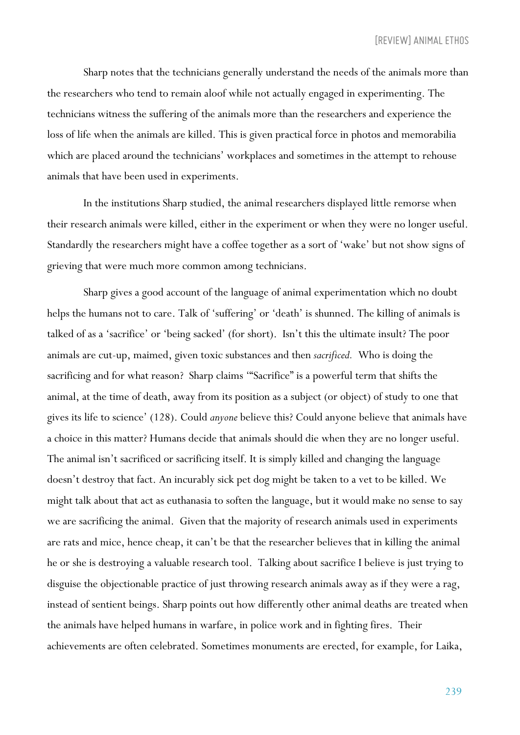Sharp notes that the technicians generally understand the needs of the animals more than the researchers who tend to remain aloof while not actually engaged in experimenting. The technicians witness the suffering of the animals more than the researchers and experience the loss of life when the animals are killed. This is given practical force in photos and memorabilia which are placed around the technicians' workplaces and sometimes in the attempt to rehouse animals that have been used in experiments.

In the institutions Sharp studied, the animal researchers displayed little remorse when their research animals were killed, either in the experiment or when they were no longer useful. Standardly the researchers might have a coffee together as a sort of 'wake' but not show signs of grieving that were much more common among technicians.

Sharp gives a good account of the language of animal experimentation which no doubt helps the humans not to care. Talk of 'suffering' or 'death' is shunned. The killing of animals is talked of as a 'sacrifice' or 'being sacked' (for short). Isn't this the ultimate insult? The poor animals are cut-up, maimed, given toxic substances and then *sacrificed.* Who is doing the sacrificing and for what reason? Sharp claims '"Sacrifice" is a powerful term that shifts the animal, at the time of death, away from its position as a subject (or object) of study to one that gives its life to science' (128). Could *anyone* believe this? Could anyone believe that animals have a choice in this matter? Humans decide that animals should die when they are no longer useful. The animal isn't sacrificed or sacrificing itself. It is simply killed and changing the language doesn't destroy that fact. An incurably sick pet dog might be taken to a vet to be killed. We might talk about that act as euthanasia to soften the language, but it would make no sense to say we are sacrificing the animal. Given that the majority of research animals used in experiments are rats and mice, hence cheap, it can't be that the researcher believes that in killing the animal he or she is destroying a valuable research tool. Talking about sacrifice I believe is just trying to disguise the objectionable practice of just throwing research animals away as if they were a rag, instead of sentient beings. Sharp points out how differently other animal deaths are treated when the animals have helped humans in warfare, in police work and in fighting fires. Their achievements are often celebrated. Sometimes monuments are erected, for example, for Laika,